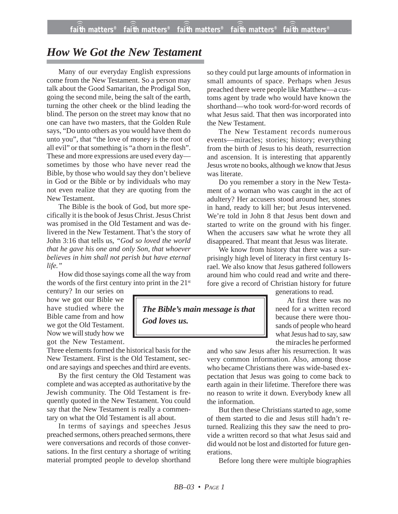## *How We Got the New Testament*

Many of our everyday English expressions come from the New Testament. So a person may talk about the Good Samaritan, the Prodigal Son, going the second mile, being the salt of the earth, turning the other cheek or the blind leading the blind. The person on the street may know that no one can have two masters, that the Golden Rule says, "Do unto others as you would have them do unto you", that "the love of money is the root of all evil" or that something is "a thorn in the flesh". These and more expressions are used every day sometimes by those who have never read the Bible, by those who would say they don't believe in God or the Bible or by individuals who may not even realize that they are quoting from the New Testament.

The Bible is the book of God, but more specifically it is the book of Jesus Christ. Jesus Christ was promised in the Old Testament and was delivered in the New Testament. That's the story of John 3:16 that tells us, *"God so loved the world that he gave his one and only Son, that whoever believes in him shall not perish but have eternal life."*

How did those sayings come all the way from the words of the first century into print in the 21<sup>st</sup>

century? In our series on how we got our Bible we have studied where the Bible came from and how we got the Old Testament. Now we will study how we got the New Testament.

Three elements formed the historical basis for the New Testament. First is the Old Testament, second are sayings and speeches and third are events.

By the first century the Old Testament was complete and was accepted as authoritative by the Jewish community. The Old Testament is frequently quoted in the New Testament. You could say that the New Testament is really a commentary on what the Old Testament is all about.

In terms of sayings and speeches Jesus preached sermons, others preached sermons, there were conversations and records of those conversations. In the first century a shortage of writing material prompted people to develop shorthand

so they could put large amounts of information in small amounts of space. Perhaps when Jesus preached there were people like Matthew—a customs agent by trade who would have known the shorthand—who took word-for-word records of what Jesus said. That then was incorporated into the New Testament.

The New Testament records numerous events—miracles; stories; history; everything from the birth of Jesus to his death, resurrection and ascension. It is interesting that apparently Jesus wrote no books, although we know that Jesus was literate.

Do you remember a story in the New Testament of a woman who was caught in the act of adultery? Her accusers stood around her, stones in hand, ready to kill her; but Jesus intervened. We're told in John 8 that Jesus bent down and started to write on the ground with his finger. When the accusers saw what he wrote they all disappeared. That meant that Jesus was literate.

We know from history that there was a surprisingly high level of literacy in first century Israel. We also know that Jesus gathered followers around him who could read and write and therefore give a record of Christian history for future

generations to read.

At first there was no need for a written record because there were thousands of people who heard what Jesus had to say, saw the miracles he performed

and who saw Jesus after his resurrection. It was very common information. Also, among those who became Christians there was wide-based expectation that Jesus was going to come back to earth again in their lifetime. Therefore there was no reason to write it down. Everybody knew all the information.

But then these Christians started to age, some of them started to die and Jesus still hadn't returned. Realizing this they saw the need to provide a written record so that what Jesus said and did would not be lost and distorted for future generations.

Before long there were multiple biographies

*The Bible's main message is that God loves us.*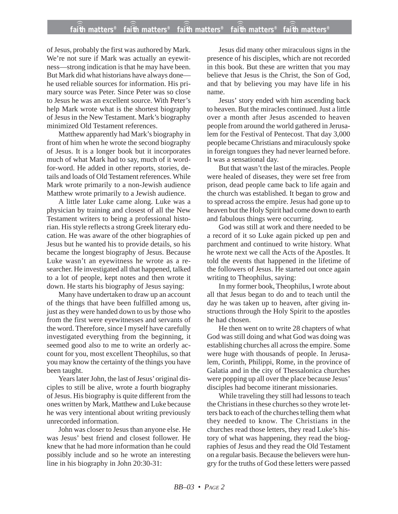of Jesus, probably the first was authored by Mark. We're not sure if Mark was actually an eyewitness—strong indication is that he may have been. But Mark did what historians have always done he used reliable sources for information. His primary source was Peter. Since Peter was so close to Jesus he was an excellent source. With Peter's help Mark wrote what is the shortest biography of Jesus in the New Testament. Mark's biography minimized Old Testament references.

Matthew apparently had Mark's biography in front of him when he wrote the second biography of Jesus. It is a longer book but it incorporates much of what Mark had to say, much of it wordfor-word. He added in other reports, stories, details and loads of Old Testament references. While Mark wrote primarily to a non-Jewish audience Matthew wrote primarily to a Jewish audience.

A little later Luke came along. Luke was a physician by training and closest of all the New Testament writers to being a professional historian. His style reflects a strong Greek literary education. He was aware of the other biographies of Jesus but he wanted his to provide details, so his became the longest biography of Jesus. Because Luke wasn't an eyewitness he wrote as a researcher. He investigated all that happened, talked to a lot of people, kept notes and then wrote it down. He starts his biography of Jesus saying:

Many have undertaken to draw up an account of the things that have been fulfilled among us, just as they were handed down to us by those who from the first were eyewitnesses and servants of the word. Therefore, since I myself have carefully investigated everything from the beginning, it seemed good also to me to write an orderly account for you, most excellent Theophilus, so that you may know the certainty of the things you have been taught.

Years later John, the last of Jesus' original disciples to still be alive, wrote a fourth biography of Jesus. His biography is quite different from the ones written by Mark, Matthew and Luke because he was very intentional about writing previously unrecorded information.

John was closer to Jesus than anyone else. He was Jesus' best friend and closest follower. He knew that he had more information than he could possibly include and so he wrote an interesting line in his biography in John 20:30-31:

Jesus did many other miraculous signs in the presence of his disciples, which are not recorded in this book. But these are written that you may believe that Jesus is the Christ, the Son of God, and that by believing you may have life in his name.

Jesus' story ended with him ascending back to heaven. But the miracles continued. Just a little over a month after Jesus ascended to heaven people from around the world gathered in Jerusalem for the Festival of Pentecost. That day 3,000 people became Christians and miraculously spoke in foreign tongues they had never learned before. It was a sensational day.

But that wasn't the last of the miracles. People were healed of diseases, they were set free from prison, dead people came back to life again and the church was established. It began to grow and to spread across the empire. Jesus had gone up to heaven but the Holy Spirit had come down to earth and fabulous things were occurring.

God was still at work and there needed to be a record of it so Luke again picked up pen and parchment and continued to write history. What he wrote next we call the Acts of the Apostles. It told the events that happened in the lifetime of the followers of Jesus. He started out once again writing to Theophilus, saying:

In my former book, Theophilus, I wrote about all that Jesus began to do and to teach until the day he was taken up to heaven, after giving instructions through the Holy Spirit to the apostles he had chosen.

He then went on to write 28 chapters of what God was still doing and what God was doing was establishing churches all across the empire. Some were huge with thousands of people. In Jerusalem, Corinth, Philippi, Rome, in the province of Galatia and in the city of Thessalonica churches were popping up all over the place because Jesus' disciples had become itinerant missionaries.

While traveling they still had lessons to teach the Christians in these churches so they wrote letters back to each of the churches telling them what they needed to know. The Christians in the churches read those letters, they read Luke's history of what was happening, they read the biographies of Jesus and they read the Old Testament on a regular basis. Because the believers were hungry for the truths of God these letters were passed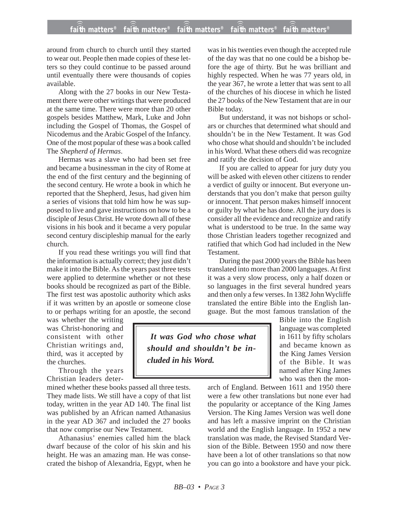## **faith matters® faith matters® faith matters® faith matters® faith matters®** ))) ))) ))) ))) )))

around from church to church until they started to wear out. People then made copies of these letters so they could continue to be passed around until eventually there were thousands of copies available.

Along with the 27 books in our New Testament there were other writings that were produced at the same time. There were more than 20 other gospels besides Matthew, Mark, Luke and John including the Gospel of Thomas, the Gospel of Nicodemus and the Arabic Gospel of the Infancy. One of the most popular of these was a book called The *Shepherd of Hermas*.

Hermas was a slave who had been set free and became a businessman in the city of Rome at the end of the first century and the beginning of the second century. He wrote a book in which he reported that the Shepherd, Jesus, had given him a series of visions that told him how he was supposed to live and gave instructions on how to be a disciple of Jesus Christ. He wrote down all of these visions in his book and it became a very popular second century discipleship manual for the early church.

If you read these writings you will find that the information is actually correct; they just didn't make it into the Bible. As the years past three tests were applied to determine whether or not these books should be recognized as part of the Bible. The first test was apostolic authority which asks if it was written by an apostle or someone close to or perhaps writing for an apostle, the second

was whether the writing was Christ-honoring and consistent with other Christian writings and, third, was it accepted by the churches.

Through the years Christian leaders deter-

mined whether these books passed all three tests. They made lists. We still have a copy of that list today, written in the year AD 140. The final list was published by an African named Athanasius in the year AD 367 and included the 27 books that now comprise our New Testament.

Athanasius' enemies called him the black dwarf because of the color of his skin and his height. He was an amazing man. He was consecrated the bishop of Alexandria, Egypt, when he

was in his twenties even though the accepted rule of the day was that no one could be a bishop before the age of thirty. But he was brilliant and highly respected. When he was 77 years old, in the year 367, he wrote a letter that was sent to all of the churches of his diocese in which he listed the 27 books of the New Testament that are in our Bible today.

But understand, it was not bishops or scholars or churches that determined what should and shouldn't be in the New Testament. It was God who chose what should and shouldn't be included in his Word. What these others did was recognize and ratify the decision of God.

If you are called to appear for jury duty you will be asked with eleven other citizens to render a verdict of guilty or innocent. But everyone understands that you don't make that person guilty or innocent. That person makes himself innocent or guilty by what he has done. All the jury does is consider all the evidence and recognize and ratify what is understood to be true. In the same way those Christian leaders together recognized and ratified that which God had included in the New **Testament** 

During the past 2000 years the Bible has been translated into more than 2000 languages. At first it was a very slow process, only a half dozen or so languages in the first several hundred years and then only a few verses. In 1382 John Wycliffe translated the entire Bible into the English language. But the most famous translation of the

*It was God who chose what should and shouldn't be included in his Word.*

Bible into the English language was completed in 1611 by fifty scholars and became known as the King James Version of the Bible. It was named after King James who was then the mon-

arch of England. Between 1611 and 1950 there were a few other translations but none ever had the popularity or acceptance of the King James Version. The King James Version was well done and has left a massive imprint on the Christian world and the English language. In 1952 a new translation was made, the Revised Standard Version of the Bible. Between 1950 and now there have been a lot of other translations so that now you can go into a bookstore and have your pick.